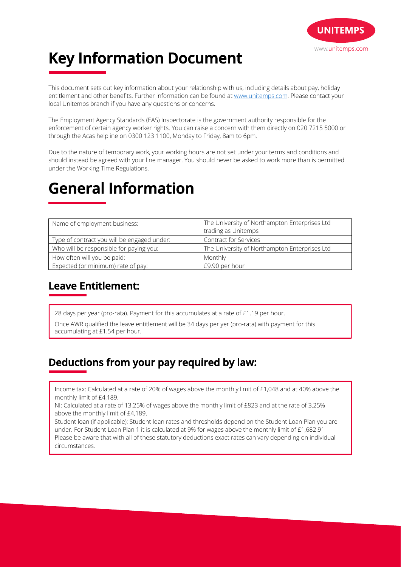

# **Key Information Document**

This document sets out key information about your relationship with us, including details about pay, holiday entitlement and other benefits. Further information can be found at www.unitemps.com. Please contact your local Unitemps branch if you have any questions or concerns.

The Employment Agency Standards (EAS) Inspectorate is the government authority responsible for the enforcement of certain agency worker rights. You can raise a concern with them directly on 020 7215 5000 or through the Acas helpline on 0300 123 1100, Monday to Friday, 8am to 6pm.

Due to the nature of temporary work, your working hours are not set under your terms and conditions and should instead be agreed with your line manager. You should never be asked to work more than is permitted under the Working Time Regulations.

## **General Information**

| Name of employment business:                | The University of Northampton Enterprises Ltd |
|---------------------------------------------|-----------------------------------------------|
|                                             | trading as Unitemps                           |
| Type of contract you will be engaged under: | <b>Contract for Services</b>                  |
| Who will be responsible for paying you:     | The University of Northampton Enterprises Ltd |
| How often will you be paid:                 | Monthly                                       |
| Expected (or minimum) rate of pay:          | £9.90 per hour                                |

### **Leave Entitlement:**

28 days per year (pro-rata). Payment for this accumulates at a rate of £1.19 per hour.

Once AWR qualified the leave entitlement will be 34 days per yer (pro-rata) with payment for this accumulating at £1.54 per hour.

### **Deductions from your pay required by law:**

Income tax: Calculated at a rate of 20% of wages above the monthly limit of £1,048 and at 40% above the monthly limit of £4,189.

NI: Calculated at a rate of 13.25% of wages above the monthly limit of £823 and at the rate of 3.25% above the monthly limit of £4,189.

Student loan (if applicable): Student loan rates and thresholds depend on the Student Loan Plan you are under. For Student Loan Plan 1 it is calculated at 9% for wages above the monthly limit of £1,682.91 Please be aware that with all of these statutory deductions exact rates can vary depending on individual circumstances.